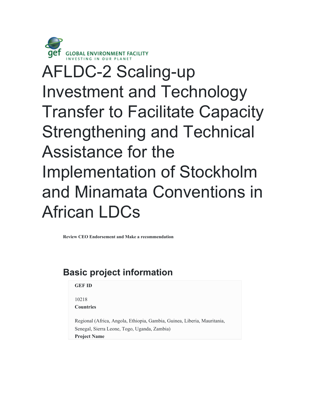

# AFLDC-2 Scaling-up Investment and Technology Transfer to Facilitate Capacity Strengthening and Technical Assistance for the Implementation of Stockholm and Minamata Conventions in African LDCs

**Review CEO Endorsement and Make a recommendation**

## **Basic project information**

| <b>GEF ID</b>    |  |
|------------------|--|
| 10218            |  |
| <b>Countries</b> |  |

Regional (Africa, Angola, Ethiopia, Gambia, Guinea, Liberia, Mauritania, Senegal, Sierra Leone, Togo, Uganda, Zambia)

**Project Name**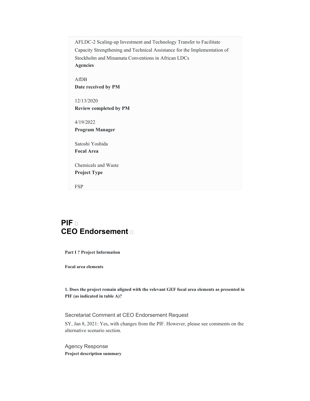AFLDC-2 Scaling-up Investment and Technology Transfer to Facilitate Capacity Strengthening and Technical Assistance for the Implementation of Stockholm and Minamata Conventions in African LDCs **Agencies**

AfDB **Date received by PM**

12/13/2020 **Review completed by PM**

4/19/2022 **Program Manager**

Satoshi Yoshida **Focal Area**

Chemicals and Waste **Project Type**

FSP

## **PIF CEO Endorsement**

**Part I ? Project Information** 

**Focal area elements** 

**1. Does the project remain aligned with the relevant GEF focal area elements as presented in PIF (as indicated in table A)?** 

Secretariat Comment at CEO Endorsement Request

SY, Jan 8, 2021: Yes, with changes from the PIF. However, please see comments on the alternative scenario section.

Agency Response **Project description summary**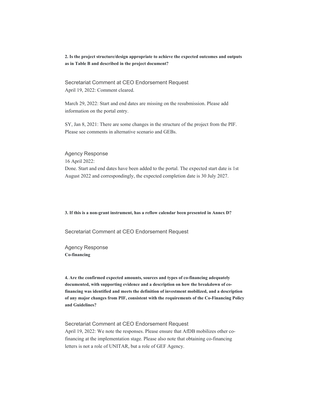**2. Is the project structure/design appropriate to achieve the expected outcomes and outputs as in Table B and described in the project document?** 

Secretariat Comment at CEO Endorsement Request April 19, 2022: Comment cleared.

March 29, 2022: Start and end dates are missing on the resubmission. Please add information on the portal entry.

SY, Jan 8, 2021: There are some changes in the structure of the project from the PIF. Please see comments in alternative scenario and GEBs.

Agency Response 16 April 2022: Done. Start and end dates have been added to the portal. The expected start date is 1st August 2022 and correspondingly, the expected completion date is 30 July 2027.

**3. If this is a non-grant instrument, has a reflow calendar been presented in Annex D?** 

Secretariat Comment at CEO Endorsement Request

Agency Response **Co-financing** 

**4. Are the confirmed expected amounts, sources and types of co-financing adequately documented, with supporting evidence and a description on how the breakdown of cofinancing was identified and meets the definition of investment mobilized, and a description of any major changes from PIF, consistent with the requirements of the Co-Financing Policy and Guidelines?** 

Secretariat Comment at CEO Endorsement Request April 19, 2022: We note the responses. Please ensure that AfDB mobilizes other cofinancing at the implementation stage. Please also note that obtaining co-financing letters is not a role of UNITAR, but a role of GEF Agency.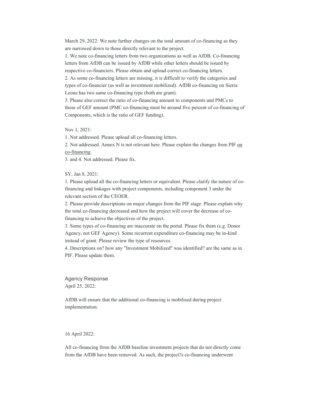March 29, 2022: We note further changes on the total amount of co-financing as they are narrowed down to those directly relevant to the project.

1. We note co-financing letters from two organizations as well as AfDB. Co-financing letters from AfDB can be issued by AfDB while other letters should be issued by respective co-financiers. Please obtain and upload correct co-financing letters.

2. As some co-financing letters are missing, it is difficult to verify the categories and types of co-financier (as well as investment mobilized). AfDB co-financing on Sierra Leone has two same co-financing type (both are grant).

3. Please also correct the ratio of co-financing amount to components and PMCs to those of GEF amount (PMC co-financing must be around five percent of co-financing of Components, which is the ratio of GEF funding).

Nov 1, 2021:

1. Not addressed. Please upload all co-financing letters.

2. Not addressed. Annex N is not relevant here. Please explain the changes from PIF on co-financing.

3. and 4. Not addressed. Please fix.

SY, Jan 8, 2021:

1. Please upload all the co-financing letters or equivalent. Please clarify the nature of cofinancing and linkages with project components, including component 3 under the relevant section of the CEOER.

2. Please provide descriptions on major changes from the PIF stage. Please explain why the total co-financing decreased and how the project will cover the decrease of cofinancing to achieve the objectives of the project.

3. Some types of co-financing are inaccurate on the portal. Please fix them (e.g. Donor Agency, not GEF Agency). Some recurrent expenditure co-financing may be in-kind instead of grant. Please review the type of resources.

4. Descriptions on? how any "Investment Mobilized" was identified? are the same as in PIF. Please update them.

Agency Response April 25, 2022:

AfDB will ensure that the additional co-financing is mobilised during project implementation.

16 April 2022:

All co-financing from the AfDB baseline investment projects that do not directly come from the AfDB have been removed. As such, the project?s co-financing underwent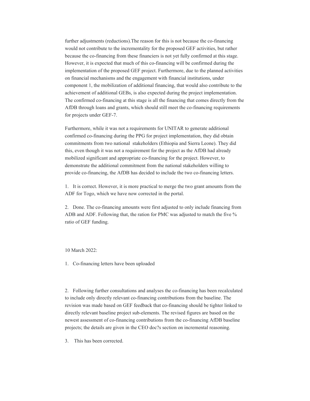further adjustments (reductions).The reason for this is not because the co-financing would not contribute to the incrementality for the proposed GEF activities, but rather because the co-financing from these financiers is not yet fully confirmed at this stage. However, it is expected that much of this co-financing will be confirmed during the implementation of the proposed GEF project. Furthermore, due to the planned activities on financial mechanisms and the engagement with financial institutions, under component 1, the mobilization of additional financing, that would also contribute to the achievement of additional GEBs, is also expected during the project implementation. The confirmed co-financing at this stage is all the financing that comes directly from the AfDB through loans and grants, which should still meet the co-financing requirements for projects under GEF-7.

Furthermore, while it was not a requirements for UNITAR to generate additional confirmed co-financing during the PPG for project implementation, they did obtain commitments from two national stakeholders (Ethiopia and Sierra Leone). They did this, even though it was not a requirement for the project as the AfDB had already mobilized significant and appropriate co-financing for the project. However, to demonstrate the additional commitment from the national stakeholders willing to provide co-financing, the AfDB has decided to include the two co-financing letters.

1. It is correct. However, it is more practical to merge the two grant amounts from the ADF for Togo, which we have now corrected in the portal.

2. Done. The co-financing amounts were first adjusted to only include financing from ADB and ADF. Following that, the ration for PMC was adjusted to match the five % ratio of GEF funding.

10 March 2022:

1. Co-financing letters have been uploaded

2. Following further consultations and analyses the co-financing has been recalculated to include only directly relevant co-financing contributions from the baseline. The revision was made based on GEF feedback that co-financing should be tighter linked to directly relevant baseline project sub-elements. The revised figures are based on the newest assessment of co-financing contributions from the co-financing AfDB baseline projects; the details are given in the CEO doc?s section on incremental reasoning.

3. This has been corrected.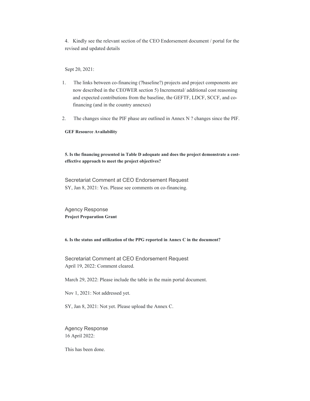4. Kindly see the relevant section of the CEO Endorsement document / portal for the revised and updated details

Sept 20, 2021:

- 1. The links between co-financing (?baseline?) projects and project components are now described in the CEOWER section 5) Incremental/ additional cost reasoning and expected contributions from the baseline, the GEFTF, LDCF, SCCF, and cofinancing (and in the country annexes)
- 2. The changes since the PIF phase are outlined in Annex N ? changes since the PIF.

**GEF Resource Availability** 

**5. Is the financing presented in Table D adequate and does the project demonstrate a costeffective approach to meet the project objectives?** 

Secretariat Comment at CEO Endorsement Request SY, Jan 8, 2021: Yes. Please see comments on co-financing.

Agency Response **Project Preparation Grant** 

**6. Is the status and utilization of the PPG reported in Annex C in the document?** 

Secretariat Comment at CEO Endorsement Request April 19, 2022: Comment cleared.

March 29, 2022: Please include the table in the main portal document.

Nov 1, 2021: Not addressed yet.

SY, Jan 8, 2021: Not yet. Please upload the Annex C.

Agency Response 16 April 2022:

This has been done.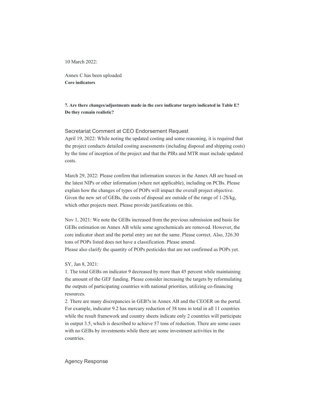10 March 2022:

Annex C has been uploaded **Core indicators** 

**7. Are there changes/adjustments made in the core indicator targets indicated in Table E? Do they remain realistic?** 

#### Secretariat Comment at CEO Endorsement Request

April 19, 2022: While noting the updated costing and some reasoning, it is required that the project conducts detailed costing assessments (including disposal and shipping costs) by the time of inception of the project and that the PIRs and MTR must include updated costs.

March 29, 2022: Please confirm that information sources in the Annex AB are based on the latest NIPs or other information (where not applicable), including on PCBs. Please explain how the changes of types of POPs will impact the overall project objective. Given the new set of GEBs, the costs of disposal are outside of the range of 1-2\$/kg, which other projects meet. Please provide justifications on this.

Nov 1, 2021: We note the GEBs increased from the previous submission and basis for GEBs estimation on Annex AB while some agrochemicals are removed. However, the core indicator sheet and the portal entry are not the same. Please correct. Also, 326.30 tons of POPs listed does not have a classification. Please amend. Please also clarify the quantity of POPs pesticides that are not confirmed as POPs yet.

SY, Jan 8, 2021:

1. The total GEBs on indicator 9 decreased by more than 45 percent while maintaining the amount of the GEF funding. Please consider increasing the targets by reformulating the outputs of participating countries with national priorities, utilizing co-financing resources.

2. There are many discrepancies in GEB?s in Annex AB and the CEOER on the portal. For example, indicator 9.2 has mercury reduction of 38 tons in total in all 11 countries while the result framework and country sheets indicate only 2 countries will participate in output 3.5, which is described to achieve 57 tons of reduction. There are some cases with no GEBs by investments while there are some investment activities in the countries.

#### Agency Response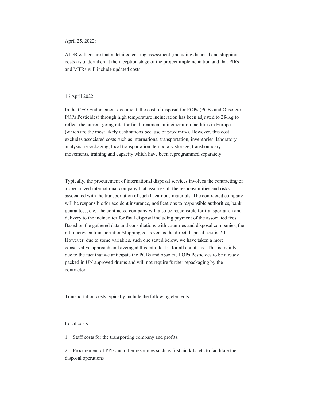April 25, 2022:

AfDB will ensure that a detailed costing assessment (including disposal and shipping costs) is undertaken at the inception stage of the project implementation and that PIRs and MTRs will include updated costs.

#### 16 April 2022:

In the CEO Endorsement document, the cost of disposal for POPs (PCBs and Obsolete POPs Pesticides) through high temperature incineration has been adjusted to 2\$/Kg to reflect the current going rate for final treatment at incineration facilities in Europe (which are the most likely destinations because of proximity). However, this cost excludes associated costs such as international transportation, inventories, laboratory analysis, repackaging, local transportation, temporary storage, transboundary movements, training and capacity which have been reprogrammed separately.

Typically, the procurement of international disposal services involves the contracting of a specialized international company that assumes all the responsibilities and risks associated with the transportation of such hazardous materials. The contracted company will be responsible for accident insurance, notifications to responsible authorities, bank guarantees, etc. The contracted company will also be responsible for transportation and delivery to the incinerator for final disposal including payment of the associated fees. Based on the gathered data and consultations with countries and disposal companies, the ratio between transportation/shipping costs versus the direct disposal cost is 2:1. However, due to some variables, such one stated below, we have taken a more conservative approach and averaged this ratio to 1:1 for all countries. This is mainly due to the fact that we anticipate the PCBs and obsolete POPs Pesticides to be already packed in UN approved drums and will not require further repackaging by the contractor.

Transportation costs typically include the following elements:

#### Local costs:

1. Staff costs for the transporting company and profits.

2. Procurement of PPE and other resources such as first aid kits, etc to facilitate the disposal operations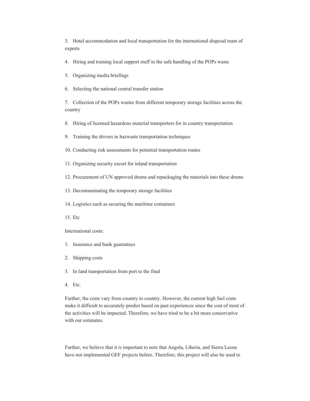3. Hotel accommodation and local transportation for the international disposal team of experts

4. Hiring and training local support stuff in the safe handling of the POPs waste

5. Organizing media briefings

6. Selecting the national central transfer station

7. Collection of the POPs wastes from different temporary storage facilities across the country

8. Hiring of licensed hazardous material transporters for in country transportation

9. Training the drivers in hazwaste transportation techniques

10. Conducting risk assessments for potential transportation routes

11. Organizing security escort for inland transportation

12. Procurement of UN approved drums and repackaging the materials into these drums

13. Decontaminating the temporary storage facilities

14. Logistics such as securing the maritime containers

15. Etc

International costs:

- 1. Insurance and bank guarantees
- 2. Shipping costs
- 3. In land transportation from port to the final
- 4. Etc.

Further, the costs vary from country to country. However, the current high fuel costs make it difficult to accurately predict based on past experiences since the cost of most of the activities will be impacted. Therefore, we have tried to be a bit more conservative with our estimates.

Further, we believe that it is important to note that Angola, Liberia, and Sierra Leone have not implemented GEF projects before. Therefore, this project will also be used to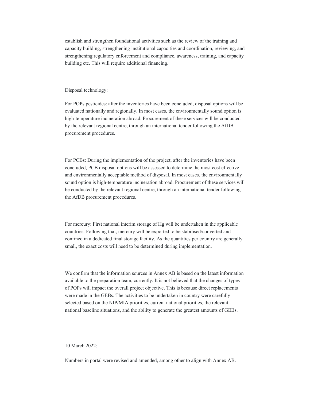establish and strengthen foundational activities such as the review of the training and capacity building, strengthening institutional capacities and coordination, reviewing, and strengthening regulatory enforcement and compliance, awareness, training, and capacity building etc. This will require additional financing.

#### Disposal technology:

For POPs pesticides: after the inventories have been concluded, disposal options will be evaluated nationally and regionally. In most cases, the environmentally sound option is high-temperature incineration abroad. Procurement of these services will be conducted by the relevant regional centre, through an international tender following the AfDB procurement procedures.

For PCBs: During the implementation of the project, after the inventories have been concluded, PCB disposal options will be assessed to determine the most cost effective and environmentally acceptable method of disposal. In most cases, the environmentally sound option is high-temperature incineration abroad. Procurement of these services will be conducted by the relevant regional centre, through an international tender following the AfDB procurement procedures.

For mercury: First national interim storage of Hg will be undertaken in the applicable countries. Following that, mercury will be exported to be stabilised/converted and confined in a dedicated final storage facility. As the quantities per country are generally small, the exact costs will need to be determined during implementation.

We confirm that the information sources in Annex AB is based on the latest information available to the preparation team, currently. It is not believed that the changes of types of POPs will impact the overall project objective. This is because direct replacements were made in the GEBs. The activities to be undertaken in country were carefully selected based on the NIP/MIA priorities, current national priorities, the relevant national baseline situations, and the ability to generate the greatest amounts of GEBs.

10 March 2022:

Numbers in portal were revised and amended, among other to align with Annex AB.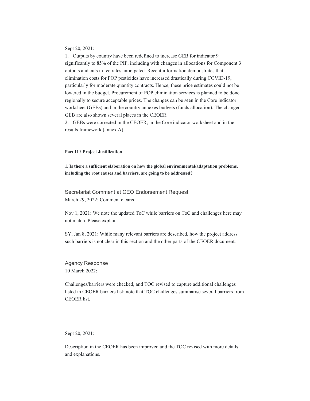Sept 20, 2021:

1. Outputs by country have been redefined to increase GEB for indicator 9 significantly to 85% of the PIF, including with changes in allocations for Component 3 outputs and cuts in fee rates anticipated. Recent information demonstrates that elimination costs for POP pesticides have increased drastically during COVID-19, particularly for moderate quantity contracts. Hence, these price estimates could not be lowered in the budget. Procurement of POP elimination services is planned to be done regionally to secure acceptable prices. The changes can be seen in the Core indicator worksheet (GEBs) and in the country annexes budgets (funds allocation). The changed GEB are also shown several places in the CEOER.

2. GEBs were corrected in the CEOER, in the Core indicator worksheet and in the results framework (annex A)

#### **Part II ? Project Justification**

**1. Is there a sufficient elaboration on how the global environmental/adaptation problems, including the root causes and barriers, are going to be addressed?** 

Secretariat Comment at CEO Endorsement Request March 29, 2022: Comment cleared.

Nov 1, 2021: We note the updated ToC while barriers on ToC and challenges here may not match. Please explain.

SY, Jan 8, 2021: While many relevant barriers are described, how the project address such barriers is not clear in this section and the other parts of the CEOER document.

Agency Response 10 March 2022:

Challenges/barriers were checked, and TOC revised to capture additional challenges listed in CEOER barriers list; note that TOC challenges summarise several barriers from CEOER list.

Sept 20, 2021:

Description in the CEOER has been improved and the TOC revised with more details and explanations.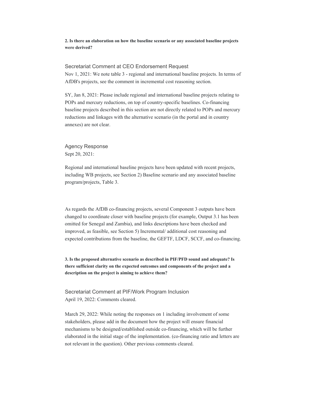#### **2. Is there an elaboration on how the baseline scenario or any associated baseline projects were derived?**

## Secretariat Comment at CEO Endorsement Request

Nov 1, 2021: We note table 3 - regional and international baseline projects. In terms of AfDB's projects, see the comment in incremental cost reasoning section.

SY, Jan 8, 2021: Please include regional and international baseline projects relating to POPs and mercury reductions, on top of country-specific baselines. Co-financing baseline projects described in this section are not directly related to POPs and mercury reductions and linkages with the alternative scenario (in the portal and in country annexes) are not clear.

Agency Response Sept 20, 2021:

Regional and international baseline projects have been updated with recent projects, including WB projects, see Section 2) Baseline scenario and any associated baseline program/projects, Table 3.

As regards the AfDB co-financing projects, several Component 3 outputs have been changed to coordinate closer with baseline projects (for example, Output 3.1 has been omitted for Senegal and Zambia), and links descriptions have been checked and improved, as feasible, see Section 5) Incremental/ additional cost reasoning and expected contributions from the baseline, the GEFTF, LDCF, SCCF, and co-financing.

**3. Is the proposed alternative scenario as described in PIF/PFD sound and adequate? Is there sufficient clarity on the expected outcomes and components of the project and a description on the project is aiming to achieve them?** 

Secretariat Comment at PIF/Work Program Inclusion April 19, 2022: Comments cleared.

March 29, 2022: While noting the responses on 1 including involvement of some stakeholders, please add in the document how the project will ensure financial mechanisms to be designed/established outside co-financing, which will be further elaborated in the initial stage of the implementation. (co-financing ratio and letters are not relevant in the question). Other previous comments cleared.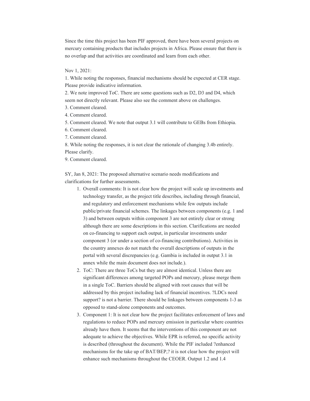Since the time this project has been PIF approved, there have been several projects on mercury containing products that includes projects in Africa. Please ensure that there is no overlap and that activities are coordinated and learn from each other.

Nov 1, 2021:

1. While noting the responses, financial mechanisms should be expected at CER stage. Please provide indicative information.

2. We note improved ToC. There are some questions such as D2, D3 and D4, which seem not directly relevant. Please also see the comment above on challenges.

3. Comment cleared.

4. Comment cleared.

5. Comment cleared. We note that output 3.1 will contribute to GEBs from Ethiopia.

6. Comment cleared.

7. Comment cleared.

8. While noting the responses, it is not clear the rationale of changing 3.4b entirely. Please clarify.

9. Comment cleared.

SY, Jan 8, 2021: The proposed alternative scenario needs modifications and clarifications for further assessments.

- 1. Overall comments: It is not clear how the project will scale up investments and technology transfer, as the project title describes, including through financial, and regulatory and enforcement mechanisms while few outputs include public/private financial schemes. The linkages between components (e.g. 1 and 3) and between outputs within component 3 are not entirely clear or strong although there are some descriptions in this section. Clarifications are needed on co-financing to support each output, in particular investments under component 3 (or under a section of co-financing contributions). Activities in the country annexes do not match the overall descriptions of outputs in the portal with several discrepancies (e.g. Gambia is included in output 3.1 in annex while the main document does not include.).
- 2. ToC: There are three ToCs but they are almost identical. Unless there are significant differences among targeted POPs and mercury, please merge them in a single ToC. Barriers should be aligned with root causes that will be addressed by this project including lack of financial incentives. ?LDCs need support? is not a barrier. There should be linkages between components 1-3 as opposed to stand-alone components and outcomes.
- 3. Component 1: It is not clear how the project facilitates enforcement of laws and regulations to reduce POPs and mercury emission in particular where countries already have them. It seems that the interventions of this component are not adequate to achieve the objectives. While EPR is referred, no specific activity is described (throughout the document). While the PIF included ?enhanced mechanisms for the take up of BAT/BEP,? it is not clear how the project will enhance such mechanisms throughout the CEOER. Output 1.2 and 1.4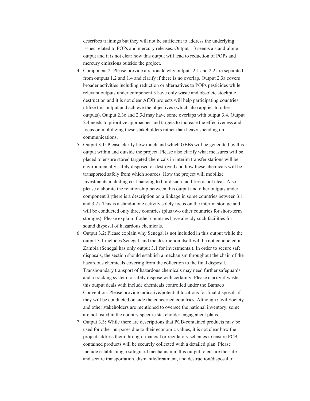describes trainings but they will not be sufficient to address the underlying issues related to POPs and mercury releases. Output 1.3 seems a stand-alone output and it is not clear how this output will lead to reduction of POPs and mercury emissions outside the project.

- 4. Component 2: Please provide a rationale why outputs 2.1 and 2.2 are separated from outputs 1.2 and 1.4 and clarify if there is no overlap. Output 2.3a covers broader activities including reduction or alternatives to POPs pesticides while relevant outputs under component 3 have only waste and obsolete stockpile destruction and it is not clear AfDB projects will help participating countries utilize this output and achieve the objectives (which also applies to other outputs). Output 2.3c and 2.3d may have some overlaps with output 3.4. Output 2.4 needs to prioritize approaches and targets to increase the effectiveness and focus on mobilizing these stakeholders rather than heavy spending on communications.
- 5. Output 3.1: Please clarify how much and which GEBs will be generated by this output within and outside the project. Please also clarify what measures will be placed to ensure stored targeted chemicals in interim transfer stations will be environmentally safely disposed or destroyed and how these chemicals will be transported safely from which sources. How the project will mobilize investments including co-financing to build such facilities is not clear. Also please elaborate the relationship between this output and other outputs under component 3 (there is a description on a linkage in some countries between 3.1 and 3.2). This is a stand-alone activity solely focus on the interim storage and will be conducted only three countries (plus two other countries for short-term storages). Please explain if other countries have already such facilities for sound disposal of hazardous chemicals.
- 6. Output 3.2: Please explain why Senegal is not included in this output while the output 3.1 includes Senegal, and the destruction itself will be not conducted in Zambia (Senegal has only output 3.1 for investments.). In order to secure safe disposals, the section should establish a mechanism throughout the chain of the hazardous chemicals covering from the collection to the final disposal. Transboundary transport of hazardous chemicals may need further safeguards and a tracking system to safely dispose with certainty. Please clarify if wastes this output deals with include chemicals controlled under the Bamaco Convention. Please provide indicative/potential locations for final disposals if they will be conducted outside the concerned countries. Although Civil Society and other stakeholders are mentioned to oversee the national inventory, some are not listed in the country specific stakeholder engagement plans.
- 7. Output 3.3: While there are descriptions that PCB-contained products may be used for other purposes due to their economic values, it is not clear how the project address them through financial or regulatory schemes to ensure PCBcontained products will be securely collected with a detailed plan. Please include establishing a safeguard mechanism in this output to ensure the safe and secure transportation, dismantle/treatment, and destruction/disposal of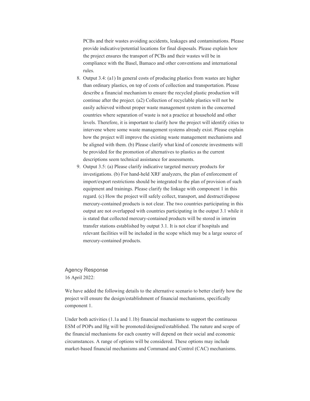PCBs and their wastes avoiding accidents, leakages and contaminations. Please provide indicative/potential locations for final disposals. Please explain how the project ensures the transport of PCBs and their wastes will be in compliance with the Basel, Bamaco and other conventions and international rules.

- 8. Output 3.4: (a1) In general costs of producing plastics from wastes are higher than ordinary plastics, on top of costs of collection and transportation. Please describe a financial mechanism to ensure the recycled plastic production will continue after the project. (a2) Collection of recyclable plastics will not be easily achieved without proper waste management system in the concerned countries where separation of waste is not a practice at household and other levels. Therefore, it is important to clarify how the project will identify cities to intervene where some waste management systems already exist. Please explain how the project will improve the existing waste management mechanisms and be aligned with them. (b) Please clarify what kind of concrete investments will be provided for the promotion of alternatives to plastics as the current descriptions seem technical assistance for assessments.
- 9. Output 3.5: (a) Please clarify indicative targeted mercury products for investigations. (b) For hand-held XRF analyzers, the plan of enforcement of import/export restrictions should be integrated to the plan of provision of such equipment and trainings. Please clarify the linkage with component 1 in this regard. (c) How the project will safely collect, transport, and destruct/dispose mercury-contained products is not clear. The two countries participating in this output are not overlapped with countries participating in the output 3.1 while it is stated that collected mercury-contained products will be stored in interim transfer stations established by output 3.1. It is not clear if hospitals and relevant facilities will be included in the scope which may be a large source of mercury-contained products.

Agency Response 16 April 2022:

We have added the following details to the alternative scenario to better clarify how the project will ensure the design/establishment of financial mechanisms, specifically component 1.

Under both activities (1.1a and 1.1b) financial mechanisms to support the continuous ESM of POPs and Hg will be promoted/designed/established. The nature and scope of the financial mechanisms for each country will depend on their social and economic circumstances. A range of options will be considered. These options may include market-based financial mechanisms and Command and Control (CAC) mechanisms.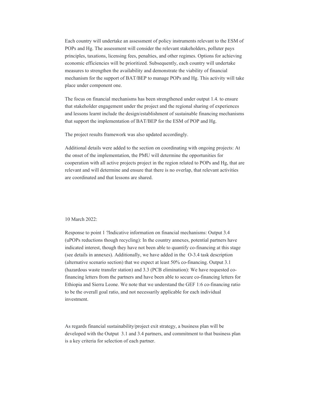Each country will undertake an assessment of policy instruments relevant to the ESM of POPs and Hg. The assessment will consider the relevant stakeholders, polluter pays principles, taxations, licensing fees, penalties, and other regimes. Options for achieving economic efficiencies will be prioritized. Subsequently, each country will undertake measures to strengthen the availability and demonstrate the viability of financial mechanism for the support of BAT/BEP to manage POPs and Hg. This activity will take place under component one.

The focus on financial mechanisms has been strengthened under output 1.4. to ensure that stakeholder engagement under the project and the regional sharing of experiences and lessons learnt include the design/establishment of sustainable financing mechanisms that support the implementation of BAT/BEP for the ESM of POP and Hg.

The project results framework was also updated accordingly.

Additional details were added to the section on coordinating with ongoing projects: At the onset of the implementation, the PMU will determine the opportunities for cooperation with all active projects project in the region related to POPs and Hg, that are relevant and will determine and ensure that there is no overlap, that relevant activities are coordinated and that lessons are shared.

#### 10 March 2022:

Response to point 1 ?Indicative information on financial mechanisms: Output 3.4 (uPOPs reductions though recycling): In the country annexes, potential partners have indicated interest, though they have not been able to quantify co-financing at this stage (see details in annexes). Additionally, we have added in the O-3.4 task description (alternative scenario section) that we expect at least 50% co-financing. Output 3.1 (hazardous waste transfer station) and 3.3 (PCB elimination): We have requested cofinancing letters from the partners and have been able to secure co-financing letters for Ethiopia and Sierra Leone. We note that we understand the GEF 1:6 co-financing ratio to be the overall goal ratio, and not necessarily applicable for each individual investment.

As regards financial sustainability/project exit strategy, a business plan will be developed with the Output 3.1 and 3.4 partners, and commitment to that business plan is a key criteria for selection of each partner.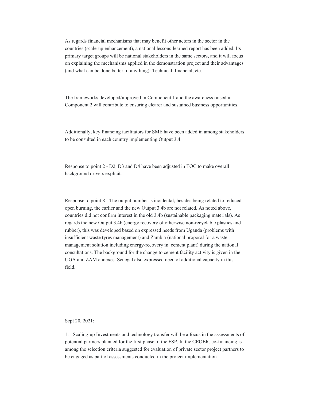As regards financial mechanisms that may benefit other actors in the sector in the countries (scale-up enhancement), a national lessons-learned report has been added. Its primary target groups will be national stakeholders in the same sectors, and it will focus on explaining the mechanisms applied in the demonstration project and their advantages (and what can be done better, if anything): Technical, financial, etc.

The frameworks developed/improved in Component 1 and the awareness raised in Component 2 will contribute to ensuring clearer and sustained business opportunities.

Additionally, key financing facilitators for SME have been added in among stakeholders to be consulted in each country implementing Output 3.4.

Response to point 2 - D2, D3 and D4 have been adjusted in TOC to make overall background drivers explicit.

Response to point 8 - The output number is incidental; besides being related to reduced open burning, the earlier and the new Output 3.4b are not related. As noted above, countries did not confirm interest in the old 3.4b (sustainable packaging materials). As regards the new Output 3.4b (energy recovery of otherwise non-recyclable plastics and rubber), this was developed based on expressed needs from Uganda (problems with insufficient waste tyres management) and Zambia (national proposal for a waste management solution including energy-recovery in cement plant) during the national consultations. The background for the change to cement facility activity is given in the UGA and ZAM annexes. Senegal also expressed need of additional capacity in this field.

Sept 20, 2021:

1. Scaling-up Investments and technology transfer will be a focus in the assessments of potential partners planned for the first phase of the FSP. In the CEOER, co-financing is among the selection criteria suggested for evaluation of private sector project partners to be engaged as part of assessments conducted in the project implementation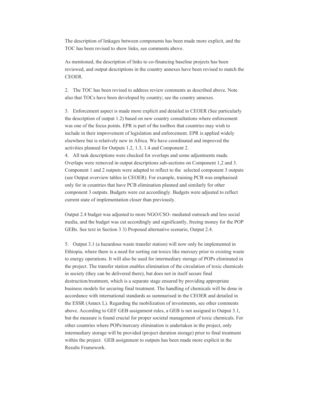The description of linkages between components has been made more explicit, and the TOC has been revised to show links, see comments above.

As mentioned, the description of links to co-financing baseline projects has been reviewed, and output descriptions in the country annexes have been revised to match the CEOER.

2. The TOC has been revised to address review comments as described above. Note also that TOCs have been developed by country; see the country annexes.

3. Enforcement aspect is made more explicit and detailed in CEOER (See particularly the description of output 1.2) based on new country consultations where enforcement was one of the focus points. EPR is part of the toolbox that countries may wish to include in their improvement of legislation and enforcement. EPR is applied widely elsewhere but is relatively new in Africa. We have coordinated and improved the activities planned for Outputs 1.2, 1.3, 1.4 and Component 2.

4. All task descriptions were checked for overlaps and some adjustments made. Overlaps were removed in output descriptions sub-sections on Component 1,2 and 3. Component 1 and 2 outputs were adapted to reflect to the selected component 3 outputs (see Output overview tables in CEOER). For example, training PCB was emphasised only for in countries that have PCB elimination planned and similarly for other component 3 outputs. Budgets were cut accordingly. Budgets were adjusted to reflect current state of implementation closer than previously.

Output 2.4 budget was adjusted to more NGO/CSO- mediated outreach and less social media, and the budget was cut accordingly and significantly, freeing money for the POP GEBs. See text in Section 3 3) Proposed alternative scenario, Output 2.4.

5. Output 3.1 (a hazardous waste transfer station) will now only be implemented in Ethiopia, where there is a need for sorting out toxics like mercury prior to existing waste to energy operations. It will also be used for intermediary storage of POPs eliminated in the project. The transfer station enables elimination of the circulation of toxic chemicals in society (they can be delivered there), but does not in itself secure final destruction/treatment, which is a separate stage ensured by providing appropriate business models for securing final treatment. The handling of chemicals will be done in accordance with international standards as summarised in the CEOER and detailed in the ESSR (Annex L). Regarding the mobilization of investments, see other comments above. According to GEF GEB assignment rules, a GEB is not assigned to Output 3.1, but the measure is found crucial for proper societal management of toxic chemicals. For other countries where POPs/mercury elimination is undertaken in the project, only intermediary storage will be provided (project duration storage) prior to final treatment within the project. GEB assignment to outputs has been made more explicit in the Results Framework.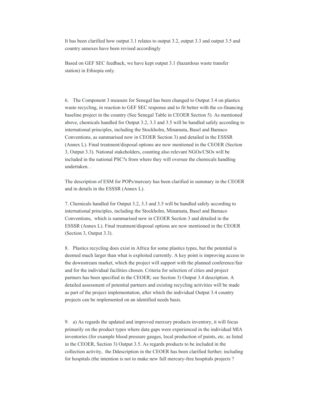It has been clarified how output 3.1 relates to output 3.2, output 3.3 and output 3.5 and country annexes have been revised accordingly

Based on GEF SEC feedback, we have kept output 3.1 (hazardous waste transfer station) in Ethiopia only.

6. The Component 3 measure for Senegal has been changed to Output 3.4 on plastics waste recycling, in reaction to GEF SEC response and to fit better with the co-financing baseline project in the country (See Senegal Table in CEOER Section 5). As mentioned above, chemicals handled for Output 3.2, 3.3 and 3.5 will be handled safely according to international principles, including the Stockholm, Minamata, Basel and Bamaco Conventions, as summarised now in CEOER Section 3) and detailed in the ESSSR (Annex L). Final treatment/disposal options are now mentioned in the CEOER (Section 3, Output 3.3). National stakeholders, counting also relevant NGOs/CSOs will be included in the national PSC?s from where they will oversee the chemicals handling undertaken. .

The description of ESM for POPs/mercury has been clarified in summary in the CEOER and in details in the ESSSR (Annex L).

7. Chemicals handled for Output 3.2, 3.3 and 3.5 will be handled safely according to international principles, including the Stockholm, Minamata, Basel and Bamaco Conventions, which is summarised now in CEOER Section 3 and detailed in the ESSSR (Annex L). Final treatment/disposal options are now mentioned in the CEOER (Section 3, Output 3.3).

8. Plastics recycling does exist in Africa for some plastics types, but the potential is deemed much larger than what is exploited currently. A key point is improving access to the downstream market, which the project will support with the planned conference/fair and for the individual facilities chosen. Criteria for selection of cities and project partners has been specified in the CEOER; see Section 3) Output 3.4 description. A detailed assessment of potential partners and existing recycling activities will be made as part of the project implementation, after which the individual Output 3.4 country projects can be implemented on an identified needs basis.

9. a) As regards the updated and improved mercury products inventory, it will focus primarily on the product types where data gaps were experienced in the individual MIA inventories (for example blood pressure gauges, local production of paints, etc. as listed in the CEOER, Section 3) Output 3.5. As regards products to be included in the collection activity, the Ddescription in the CEOER has been clarified further; including for hospitals (the intention is not to make new full mercury-free hospitals projects ?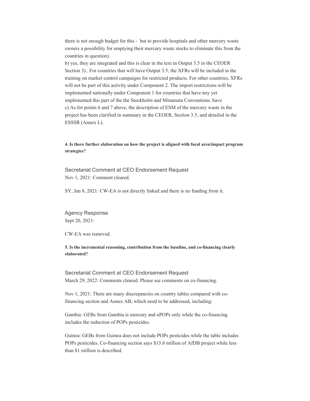there is not enough budget for this - but to provide hospitals and other mercury waste owners a possibility for emptying their mercury waste stocks to eliminate this from the countries in question).

b) yes, they are integrated and this is clear in the text in Output 3.5 in the CEOER Section 3).. For countries that will have Output 3.5, the XFRs will be included in the training on market control campaigns for restricted products. For other countries, XFRs will not be part of this activity under Component 2. The import restrictions will be implemented nationally under Component 1 for countries that have noy yet implemented this part of the the Stockholm and Minamata Conventions. have c) As for points 6 and 7 above, the description of ESM of the mercury waste in the project has been clarified in summary in the CEOER, Section 3.5, and detailed in the ESSSR (Annex L).

#### **4. Is there further elaboration on how the project is aligned with focal area/impact program strategies?**

Secretariat Comment at CEO Endorsement Request Nov 1, 2021: Comment cleared.

SY, Jan 8, 2021: CW-EA is not directly linked and there is no funding from it.

Agency Response Sept 20, 2021:

CW-EA was removed.

**5. Is the incremental reasoning, contribution from the baseline, and co-financing clearly elaborated?** 

Secretariat Comment at CEO Endorsement Request March 29, 2022: Comments cleared. Please see comments on co-financing.

Nov 1, 2021: There are many discrepancies on country tables compared with cofinancing section and Annex AB, which need to be addressed, including:

Gambia: GEBs from Gambia is mercury and uPOPs only while the co-financing includes the reduction of POPs pesticides.

Guinea: GEBs from Guinea does not include POPs pesticides while the table includes POPs pesticides. Co-financing section says \$13.8 million of AfDB project while less than \$1 million is described.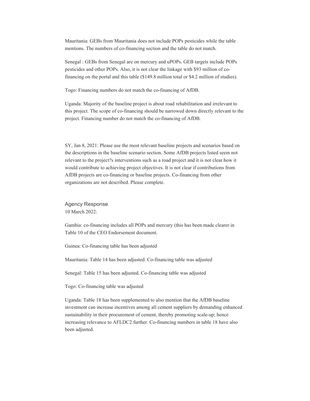Mauritania: GEBs from Mauritania does not include POPs pesticides while the table mentions. The numbers of co-financing section and the table do not match.

Senegal : GEBs from Senegal are on mercury and uPOPs. GEB targets include POPs pesticides and other POPs. Also, it is not clear the linkage with \$93 million of cofinancing on the portal and this table (\$149.8 million total or \$4.2 million of studies).

Togo: Financing numbers do not match the co-financing of AfDB.

Uganda: Majority of the baseline project is about road rehabilitation and irrelevant to this project. The scope of co-financing should be narrowed down directly relevant to the project. Financing number do not match the co-financing of AfDB.

SY, Jan 8, 2021: Please use the most relevant baseline projects and scenarios based on the descriptions in the baseline scenario section. Some AfDB projects listed seem not relevant to the project?s interventions such as a road project and it is not clear how it would contribute to achieving project objectives. It is not clear if contributions from AfDB projects are co-financing or baseline projects. Co-financing from other organizations are not described. Please complete.

Agency Response 10 March 2022:

Gambia: co-financing includes all POPs and mercury (this has been made clearer in Table 10 of the CEO Endorsement document.

Guinea: Co-financing table has been adjusted

Mauritania: Table 14 has been adjusted. Co-financing table was adjusted

Senegal: Table 15 has been adjusted. Co-financing table was adjusted

Togo: Co-financing table was adjusted

Uganda: Table 18 has been supplemented to also mention that the AfDB baseline investment can increase incentives among all cement suppliers by demanding enhanced sustainability in their procurement of cement, thereby promoting scale-up; hence increasing relevance to AFLDC2 further. Co-financing numbers in table 18 have also been adjusted.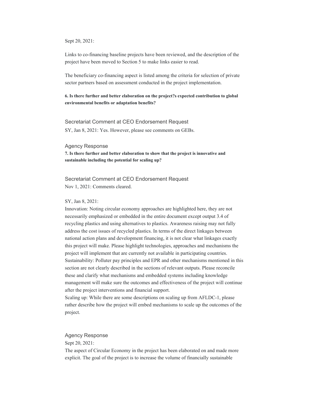Sept 20, 2021:

Links to co-financing baseline projects have been reviewed, and the description of the project have been moved to Section 5 to make links easier to read.

The beneficiary co-financing aspect is listed among the criteria for selection of private sector partners based on assessment conducted in the project implementation.

#### **6. Is there further and better elaboration on the project?s expected contribution to global environmental benefits or adaptation benefits?**

Secretariat Comment at CEO Endorsement Request

SY, Jan 8, 2021: Yes. However, please see comments on GEBs.

#### Agency Response

**7. Is there further and better elaboration to show that the project is innovative and sustainable including the potential for scaling up?** 

Secretariat Comment at CEO Endorsement Request Nov 1, 2021: Comments cleared.

#### SY, Jan 8, 2021:

Innovation: Noting circular economy approaches are highlighted here, they are not necessarily emphasized or embedded in the entire document except output 3.4 of recycling plastics and using alternatives to plastics. Awareness raising may not fully address the cost issues of recycled plastics. In terms of the direct linkages between national action plans and development financing, it is not clear what linkages exactly this project will make. Please highlight technologies, approaches and mechanisms the project will implement that are currently not available in participating countries. Sustainability: Polluter pay principles and EPR and other mechanisms mentioned in this section are not clearly described in the sections of relevant outputs. Please reconcile these and clarify what mechanisms and embedded systems including knowledge management will make sure the outcomes and effectiveness of the project will continue after the project interventions and financial support.

Scaling up: While there are some descriptions on scaling up from AFLDC-1, please rather describe how the project will embed mechanisms to scale up the outcomes of the project.

#### Agency Response

Sept 20, 2021:

The aspect of Circular Economy in the project has been elaborated on and made more explicit. The goal of the project is to increase the volume of financially sustainable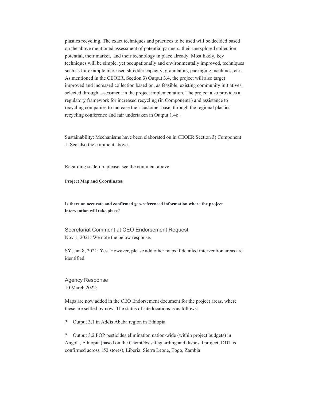plastics recycling. The exact techniques and practices to be used will be decided based on the above mentioned assessment of potential partners, their unexplored collection potential, their market, and their technology in place already. Most likely, key techniques will be simple, yet occupationally and environmentally improved, techniques such as for example increased shredder capacity, granulators, packaging machines, etc.. As mentioned in the CEOER, Section 3) Output 3.4, the project will also target improved and increased collection based on, as feasible, existing community initiatives, selected through assessment in the project implementation. The project also provides a regulatory framework for increased recycling (in Component1) and assistance to recycling companies to increase their customer base, through the regional plastics recycling conference and fair undertaken in Output 1.4c .

Sustainability: Mechanisms have been elaborated on in CEOER Section 3) Component 1. See also the comment above.

Regarding scale-up, please see the comment above.

#### **Project Map and Coordinates**

#### **Is there an accurate and confirmed geo-referenced information where the project intervention will take place?**

Secretariat Comment at CEO Endorsement Request Nov 1, 2021: We note the below response.

SY, Jan 8, 2021: Yes. However, please add other maps if detailed intervention areas are identified.

Agency Response 10 March 2022:

Maps are now added in the CEO Endorsement document for the project areas, where these are settled by now. The status of site locations is as follows:

? Output 3.1 in Addis Ababa region in Ethiopia

? Output 3.2 POP pesticides elimination nation-wide (within project budgets) in Angola, Ethiopia (based on the ChemObs safeguarding and disposal project, DDT is confirmed across 152 stores), Liberia, Sierra Leone, Togo, Zambia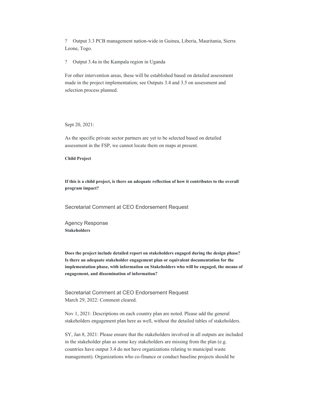? Output 3.3 PCB management nation-wide in Guinea, Liberia, Mauritania, Sierra Leone, Togo.

? Output 3.4a in the Kampala region in Uganda

For other intervention areas, these will be established based on detailed assessment made in the project implementation; see Outputs 3.4 and 3.5 on assessment and selection process planned.

Sept 20, 2021:

As the specific private sector partners are yet to be selected based on detailed assessment in the FSP, we cannot locate them on maps at present.

**Child Project** 

**If this is a child project, is there an adequate reflection of how it contributes to the overall program impact?** 

Secretariat Comment at CEO Endorsement Request

Agency Response **Stakeholders** 

**Does the project include detailed report on stakeholders engaged during the design phase? Is there an adequate stakeholder engagement plan or equivalent documentation for the implementation phase, with information on Stakeholders who will be engaged, the means of engagement, and dissemination of information?** 

Secretariat Comment at CEO Endorsement Request March 29, 2022: Comment cleared.

Nov 1, 2021: Descriptions on each country plan are noted. Please add the general stakeholders engagement plan here as well, without the detailed tables of stakeholders.

SY, Jan 8, 2021: Please ensure that the stakeholders involved in all outputs are included in the stakeholder plan as some key stakeholders are missing from the plan (e.g. countries have output 3.4 do not have organizations relating to municipal waste management). Organizations who co-finance or conduct baseline projects should be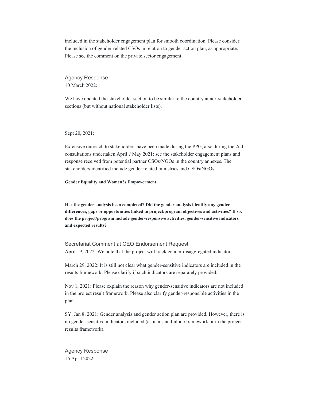included in the stakeholder engagement plan for smooth coordination. Please consider the inclusion of gender-related CSOs in relation to gender action plan, as appropriate. Please see the comment on the private sector engagement.

Agency Response 10 March 2022:

We have updated the stakeholder section to be similar to the country annex stakeholder sections (but without national stakeholder lists).

Sept 20, 2021:

Extensive outreach to stakeholders have been made during the PPG, also during the 2nd consultations undertaken April ? May 2021; see the stakeholder engagement plans and response received from potential partner CSOs/NGOs in the country annexes. The stakeholders identified include gender related ministries and CSOs/NGOs.

**Gender Equality and Women?s Empowerment** 

**Has the gender analysis been completed? Did the gender analysis identify any gender differences, gaps or opportunities linked to project/program objectives and activities? If so, does the project/program include gender-responsive activities, gender-sensitive indicators and expected results?** 

Secretariat Comment at CEO Endorsement Request April 19, 2022: We note that the project will track gender-disaggregated indicators.

March 29, 2022: It is still not clear what gender-sensitive indicators are included in the results framework. Please clarify if such indicators are separately provided.

Nov 1, 2021: Please explain the reason why gender-sensitive indicators are not included in the project result framework. Please also clarify gender-responsible activities in the plan.

SY, Jan 8, 2021: Gender analysis and gender action plan are provided. However, there is no gender-sensitive indicators included (as in a stand-alone framework or in the project results framework).

Agency Response 16 April 2022: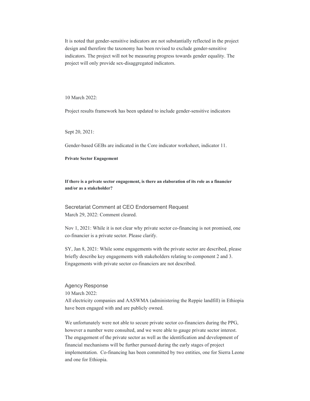It is noted that gender-sensitive indicators are not substantially reflected in the project design and therefore the taxonomy has been revised to exclude gender-sensitive indicators. The project will not be measuring progress towards gender equality. The project will only provide sex-disaggregated indicators.

10 March 2022:

Project results framework has been updated to include gender-sensitive indicators

Sept 20, 2021:

Gender-based GEBs are indicated in the Core indicator worksheet, indicator 11.

**Private Sector Engagement** 

**If there is a private sector engagement, is there an elaboration of its role as a financier and/or as a stakeholder?** 

Secretariat Comment at CEO Endorsement Request March 29, 2022: Comment cleared.

Nov 1, 2021: While it is not clear why private sector co-financing is not promised, one co-financier is a private sector. Please clarify.

SY, Jan 8, 2021: While some engagements with the private sector are described, please briefly describe key engagements with stakeholders relating to component 2 and 3. Engagements with private sector co-financiers are not described.

#### Agency Response

10 March 2022:

All electricity companies and AASWMA (administering the Reppie landfill) in Ethiopia have been engaged with and are publicly owned.

We unfortunately were not able to secure private sector co-financiers during the PPG, however a number were consulted, and we were able to gauge private sector interest. The engagement of the private sector as well as the identification and development of financial mechanisms will be further pursued during the early stages of project implementation. Co-financing has been committed by two entities, one for Sierra Leone and one for Ethiopia.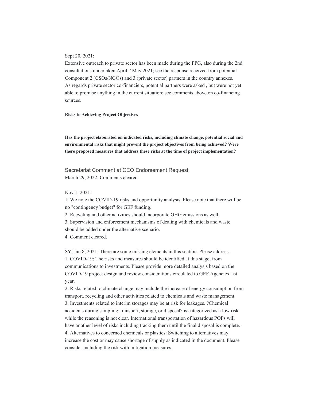#### Sept 20, 2021:

Extensive outreach to private sector has been made during the PPG, also during the 2nd consultations undertaken April ? May 2021; see the response received from potential Component 2 (CSOs/NGOs) and 3 (private sector) partners in the country annexes. As regards private sector co-financiers, potential partners were asked , but were not yet able to promise anything in the current situation; see comments above on co-financing sources.

**Risks to Achieving Project Objectives** 

**Has the project elaborated on indicated risks, including climate change, potential social and environmental risks that might prevent the project objectives from being achieved? Were there proposed measures that address these risks at the time of project implementation?** 

Secretariat Comment at CEO Endorsement Request March 29, 2022: Comments cleared.

Nov 1, 2021:

1. We note the COVID-19 risks and opportunity analysis. Please note that there will be no "contingency budget" for GEF funding.

2. Recycling and other activities should incorporate GHG emissions as well.

3. Supervision and enforcement mechanisms of dealing with chemicals and waste should be added under the alternative scenario.

4. Comment cleared.

SY, Jan 8, 2021: There are some missing elements in this section. Please address. 1. COVID-19: The risks and measures should be identified at this stage, from communications to investments. Please provide more detailed analysis based on the COVID-19 project design and review considerations circulated to GEF Agencies last year.

2. Risks related to climate change may include the increase of energy consumption from transport, recycling and other activities related to chemicals and waste management. 3. Investments related to interim storages may be at risk for leakages. ?Chemical accidents during sampling, transport, storage, or disposal? is categorized as a low risk while the reasoning is not clear. International transportation of hazardous POPs will have another level of risks including tracking them until the final disposal is complete. 4. Alternatives to concerned chemicals or plastics: Switching to alternatives may increase the cost or may cause shortage of supply as indicated in the document. Please consider including the risk with mitigation measures.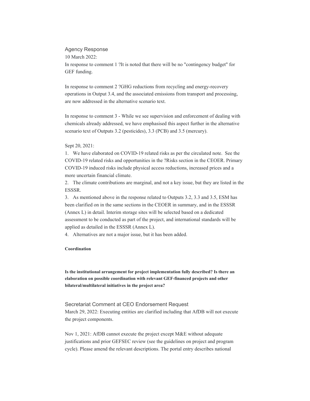#### Agency Response

10 March 2022:

In response to comment 1 ?It is noted that there will be no "contingency budget" for GEF funding.

In response to comment 2 ?GHG reductions from recycling and energy-recovery operations in Output 3.4, and the associated emissions from transport and processing, are now addressed in the alternative scenario text.

In response to comment 3 - While we see supervision and enforcement of dealing with chemicals already addressed, we have emphasised this aspect further in the alternative scenario text of Outputs 3.2 (pesticides), 3.3 (PCB) and 3.5 (mercury).

#### Sept 20, 2021:

1. We have elaborated on COVID-19 related risks as per the circulated note. See the COVID-19 related risks and opportunities in the ?Risks section in the CEOER. Primary COVID-19 induced risks include physical access reductions, increased prices and a more uncertain financial climate.

2. The climate contributions are marginal, and not a key issue, but they are listed in the ESSSR.

3. As mentioned above in the response related to Outputs 3.2, 3.3 and 3.5, ESM has been clarified on in the same sections in the CEOER in summary, and in the ESSSR (Annex L) in detail. Interim storage sites will be selected based on a dedicated assessment to be conducted as part of the project, and international standards will be applied as detailed in the ESSSR (Annex L).

4. Alternatives are not a major issue, but it has been added.

#### **Coordination**

**Is the institutional arrangement for project implementation fully described? Is there an elaboration on possible coordination with relevant GEF-financed projects and other bilateral/multilateral initiatives in the project area?** 

Secretariat Comment at CEO Endorsement Request March 29, 2022: Executing entities are clarified including that AfDB will not execute the project components.

Nov 1, 2021: AfDB cannot execute the project except M&E without adequate justifications and prior GEFSEC review (see the guidelines on project and program cycle). Please amend the relevant descriptions. The portal entry describes national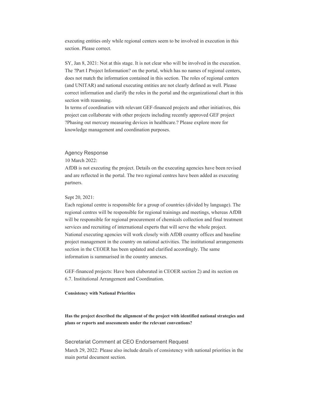executing entities only while regional centers seem to be involved in execution in this section. Please correct.

SY, Jan 8, 2021: Not at this stage. It is not clear who will be involved in the execution. The ?Part I Project Information? on the portal, which has no names of regional centers, does not match the information contained in this section. The roles of regional centers (and UNITAR) and national executing entities are not clearly defined as well. Please correct information and clarify the roles in the portal and the organizational chart in this section with reasoning.

In terms of coordination with relevant GEF-financed projects and other initiatives, this project can collaborate with other projects including recently approved GEF project ?Phasing out mercury measuring devices in healthcare.? Please explore more for knowledge management and coordination purposes.

#### Agency Response

10 March 2022:

AfDB is not executing the project. Details on the executing agencies have been revised and are reflected in the portal. The two regional centres have been added as executing partners.

#### Sept 20, 2021:

Each regional centre is responsible for a group of countries (divided by language). The regional centres will be responsible for regional trainings and meetings, whereas AfDB will be responsible for regional procurement of chemicals collection and final treatment services and recruiting of international experts that will serve the whole project. National executing agencies will work closely with AfDB country offices and baseline project management in the country on national activities. The institutional arrangements section in the CEOER has been updated and clarified accordingly. The same information is summarised in the country annexes.

GEF-financed projects: Have been elaborated in CEOER section 2) and its section on 6.7. Institutional Arrangement and Coordination.

#### **Consistency with National Priorities**

**Has the project described the alignment of the project with identified national strategies and plans or reports and assessments under the relevant conventions?** 

#### Secretariat Comment at CEO Endorsement Request

March 29, 2022: Please also include details of consistency with national priorities in the main portal document section.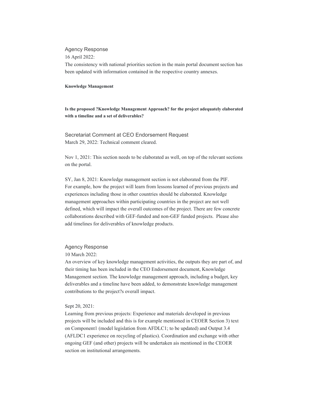#### Agency Response

16 April 2022:

The consistency with national priorities section in the main portal document section has been updated with information contained in the respective country annexes.

#### **Knowledge Management**

**Is the proposed ?Knowledge Management Approach? for the project adequately elaborated with a timeline and a set of deliverables?** 

Secretariat Comment at CEO Endorsement Request March 29, 2022: Technical comment cleared.

Nov 1, 2021: This section needs to be elaborated as well, on top of the relevant sections on the portal.

SY, Jan 8, 2021: Knowledge management section is not elaborated from the PIF. For example, how the project will learn from lessons learned of previous projects and experiences including those in other countries should be elaborated. Knowledge management approaches within participating countries in the project are not well defined, which will impact the overall outcomes of the project. There are few concrete collaborations described with GEF-funded and non-GEF funded projects. Please also add timelines for deliverables of knowledge products.

#### Agency Response

10 March 2022:

An overview of key knowledge management activities, the outputs they are part of, and their timing has been included in the CEO Endorsement document, Knowledge Management section. The knowledge management approach, including a budget, key deliverables and a timeline have been added, to demonstrate knowledge management contributions to the project?s overall impact.

#### Sept 20, 2021:

Learning from previous projects: Experience and materials developed in previous projects will be included and this is for example mentioned in CEOER Section 3) text on Component1 (model legislation from AFDLC1; to be updated) and Output 3.4 (AFLDC1 experience on recycling of plastics). Coordination and exchange with other ongoing GEF (and other) projects will be undertaken ais mentioned in the CEOER section on institutional arrangements.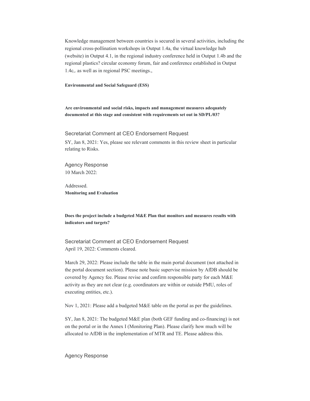Knowledge management between countries is secured in several activities, including the regional cross-pollination workshops in Output 1.4a, the virtual knowledge hub (website) in Output 4.1, in the regional industry conference held in Output 1.4b and the regional plastics? circular economy forum, fair and conference established in Output 1.4c,. as well as in regional PSC meetings.,

**Environmental and Social Safeguard (ESS)** 

**Are environmental and social risks, impacts and management measures adequately documented at this stage and consistent with requirements set out in SD/PL/03?** 

Secretariat Comment at CEO Endorsement Request

SY, Jan 8, 2021: Yes, please see relevant comments in this review sheet in particular relating to Risks.

Agency Response 10 March 2022:

Addressed. **Monitoring and Evaluation** 

**Does the project include a budgeted M&E Plan that monitors and measures results with indicators and targets?** 

Secretariat Comment at CEO Endorsement Request April 19, 2022: Comments cleared.

March 29, 2022: Please include the table in the main portal document (not attached in the portal document section). Please note basic supervise mission by AfDB should be covered by Agency fee. Please revise and confirm responsible party for each M&E activity as they are not clear (e.g. coordinators are within or outside PMU, roles of executing entities, etc.).

Nov 1, 2021: Please add a budgeted M&E table on the portal as per the guidelines.

SY, Jan 8, 2021: The budgeted M&E plan (both GEF funding and co-financing) is not on the portal or in the Annex I (Monitoring Plan). Please clarify how much will be allocated to AfDB in the implementation of MTR and TE. Please address this.

Agency Response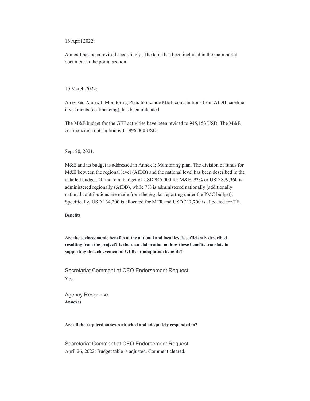16 April 2022:

Annex I has been revised accordingly. The table has been included in the main portal document in the portal section.

10 March 2022:

A revised Annex I: Monitoring Plan, to include M&E contributions from AfDB baseline investments (co-financing), has been uploaded.

The M&E budget for the GEF activities have been revised to 945,153 USD. The M&E co-financing contribution is 11.896.000 USD.

Sept 20, 2021:

M&E and its budget is addressed in Annex I; Monitoring plan. The division of funds for M&E between the regional level (AfDB) and the national level has been described in the detailed budget. Of the total budget of USD 945,000 for M&E, 93% or USD 879,360 is administered regionally (AfDB), while 7% is administered nationally (additionally national contributions are made from the regular reporting under the PMC budget). Specifically, USD 134,200 is allocated for MTR and USD 212,700 is allocated for TE.

**Benefits** 

**Are the socioeconomic benefits at the national and local levels sufficiently described resulting from the project? Is there an elaboration on how these benefits translate in supporting the achievement of GEBs or adaptation benefits?** 

Secretariat Comment at CEO Endorsement Request Yes.

Agency Response **Annexes** 

**Are all the required annexes attached and adequately responded to?** 

Secretariat Comment at CEO Endorsement Request April 26, 2022: Budget table is adjusted. Comment cleared.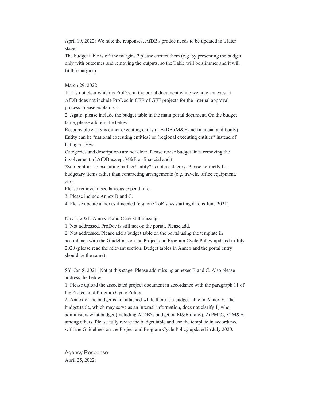April 19, 2022: We note the responses. AfDB's prodoc needs to be updated in a later stage.

The budget table is off the margins ? please correct them (e.g. by presenting the budget only with outcomes and removing the outputs, so the Table will be slimmer and it will fit the margins)

March 29, 2022:

1. It is not clear which is ProDoc in the portal document while we note annexes. If AfDB does not include ProDoc in CER of GEF projects for the internal approval process, please explain so.

2. Again, please include the budget table in the main portal document. On the budget table, please address the below.

Responsible entity is either executing entity or AfDB (M&E and financial audit only). Entity can be ?national executing entities? or ?regional executing entities? instead of listing all EEs.

Categories and descriptions are not clear. Please revise budget lines removing the involvement of AfDB except M&E or financial audit.

?Sub-contract to executing partner/ entity? is not a category. Please correctly list budgetary items rather than contracting arrangements (e.g. travels, office equipment, etc.).

Please remove miscellaneous expenditure.

3. Please include Annex B and C.

4. Please update annexes if needed (e.g. one ToR says starting date is June 2021)

Nov 1, 2021: Annex B and C are still missing.

1. Not addressed. ProDoc is still not on the portal. Please add.

2. Not addressed. Please add a budget table on the portal using the template in accordance with the Guidelines on the Project and Program Cycle Policy updated in July 2020 (please read the relevant section. Budget tables in Annex and the portal entry should be the same).

SY, Jan 8, 2021: Not at this stage. Please add missing annexes B and C. Also please address the below.

1. Please upload the associated project document in accordance with the paragraph 11 of the Project and Program Cycle Policy.

2. Annex of the budget is not attached while there is a budget table in Annex F. The budget table, which may serve as an internal information, does not clarify 1) who administers what budget (including AfDB?s budget on M&E if any), 2) PMCs, 3) M&E, among others. Please fully revise the budget table and use the template in accordance with the Guidelines on the Project and Program Cycle Policy updated in July 2020.

Agency Response April 25, 2022: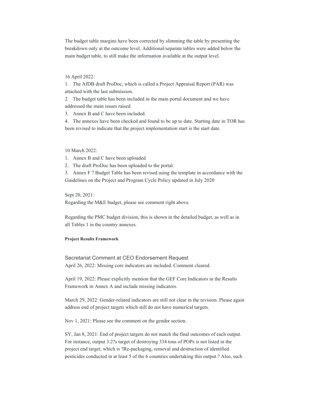The budget table margins have been corrected by slimming the table by presenting the breakdown only at the outcome level. Additional/separate tables were added below the main budget table, to still make the information available at the output level.

#### 16 April 2022:

1. The AfDB draft ProDoc, which is called a Project Appraisal Report (PAR) was attached with the last submission.

2. The budget table has been included in the main portal document and we have addressed the main issues raised

3. Annex B and C have been included.

4. The annexes have been checked and found to be up to date. Starting date in TOR has been revised to indicate that the project implementation start is the start date.

10 March 2022:

1. Annex B and C have been uploaded

2. The draft ProDoc has been uploaded to the portal.

3. Annex F ? Budget Table has been revised using the template in accordance with the Guidelines on the Project and Program Cycle Policy updated in July 2020

Sept 20, 2021:

Regarding the M&E budget, please see comment right above.

Regarding the PMC budget division, this is shown in the detailed budget, as well as in all Tables 1 in the country annexes.

#### **Project Results Framework**

Secretariat Comment at CEO Endorsement Request April 26, 2022: Missing core indicators are included. Comment cleared.

April 19, 2022: Please explicitly mention that the GEF Core Indicators in the Results Framework in Annex A and include missing indicators.

March 29, 2022: Gender-related indicators are still not clear in the revision. Please again address end of project targets which still do not have numerical targets.

Nov 1, 2021: Please see the comment on the gender section.

SY, Jan 8, 2021: End of project targets do not match the final outcomes of each output. For instance, output 3.2?s target of destroying 334 tons of POPs is not listed in the project end target, which is ?Re-packaging, removal and destruction of identified pesticides conducted in at least 5 of the 6 countries undertaking this output.? Also, such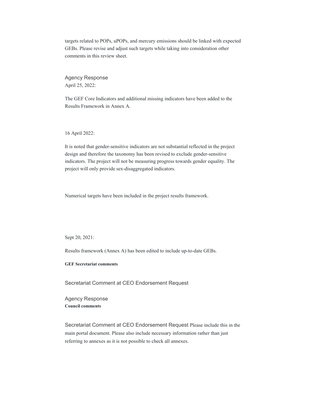targets related to POPs, uPOPs, and mercury emissions should be linked with expected GEBs. Please revise and adjust such targets while taking into consideration other comments in this review sheet.

Agency Response April 25, 2022:

The GEF Core Indicators and additional missing indicators have been added to the Results Framework in Annex A.

16 April 2022:

It is noted that gender-sensitive indicators are not substantial reflected in the project design and therefore the taxonomy has been revised to exclude gender-sensitive indicators. The project will not be measuring progress towards gender equality. The project will only provide sex-disaggregated indicators.

Numerical targets have been included in the project results framework.

Sept 20, 2021:

Results framework (Annex A) has been edited to include up-to-date GEBs.

**GEF Secretariat comments** 

Secretariat Comment at CEO Endorsement Request

Agency Response **Council comments** 

Secretariat Comment at CEO Endorsement Request Please include this in the main portal document. Please also include necessary information rather than just referring to annexes as it is not possible to check all annexes.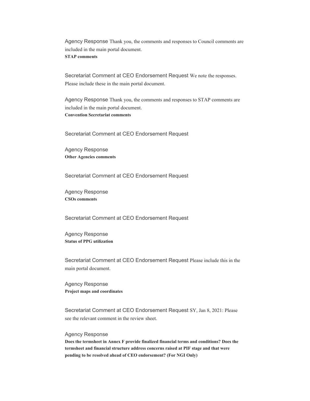Agency Response Thank you, the comments and responses to Council comments are included in the main portal document. **STAP comments** 

Secretariat Comment at CEO Endorsement Request We note the responses. Please include these in the main portal document.

Agency Response Thank you, the comments and responses to STAP comments are included in the main portal document. **Convention Secretariat comments** 

Secretariat Comment at CEO Endorsement Request

Agency Response **Other Agencies comments** 

Secretariat Comment at CEO Endorsement Request

Agency Response **CSOs comments** 

Secretariat Comment at CEO Endorsement Request

Agency Response **Status of PPG utilization** 

Secretariat Comment at CEO Endorsement Request Please include this in the main portal document.

Agency Response **Project maps and coordinates** 

Secretariat Comment at CEO Endorsement Request SY, Jan 8, 2021: Please see the relevant comment in the review sheet.

#### Agency Response

**Does the termsheet in Annex F provide finalized financial terms and conditions? Does the termsheet and financial structure address concerns raised at PIF stage and that were pending to be resolved ahead of CEO endorsement? (For NGI Only)**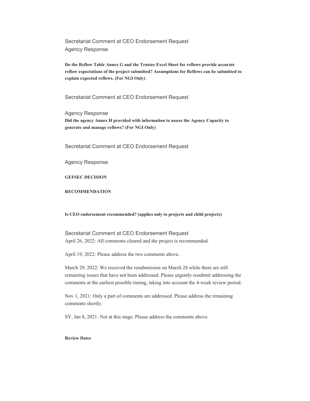Secretariat Comment at CEO Endorsement Request Agency Response

**Do the Reflow Table Annex G and the Trustee Excel Sheet for reflows provide accurate reflow expectations of the project submitted? Assumptions for Reflows can be submitted to explain expected reflows. (For NGI Only)** 

Secretariat Comment at CEO Endorsement Request

Agency Response **Did the agency Annex H provided with information to assess the Agency Capacity to generate and manage reflows? (For NGI Only)** 

Secretariat Comment at CEO Endorsement Request

Agency Response

**GEFSEC DECISION** 

#### **RECOMMENDATION**

#### **Is CEO endorsement recommended? (applies only to projects and child projects)**

Secretariat Comment at CEO Endorsement Request April 26, 2022: All comments cleared and the project is recommended.

April 19, 2022: Please address the two comments above.

March 29, 2022: We received the resubmission on March 28 while there are still remaining issues that have not been addressed. Please urgently resubmit addressing the comments at the earliest possible timing, taking into account the 4-week review period.

Nov 1, 2021: Only a part of comments are addressed. Please address the remaining comments shortly.

SY, Jan 8, 2021: Not at this stage. Please address the comments above.

#### **Review Dates**